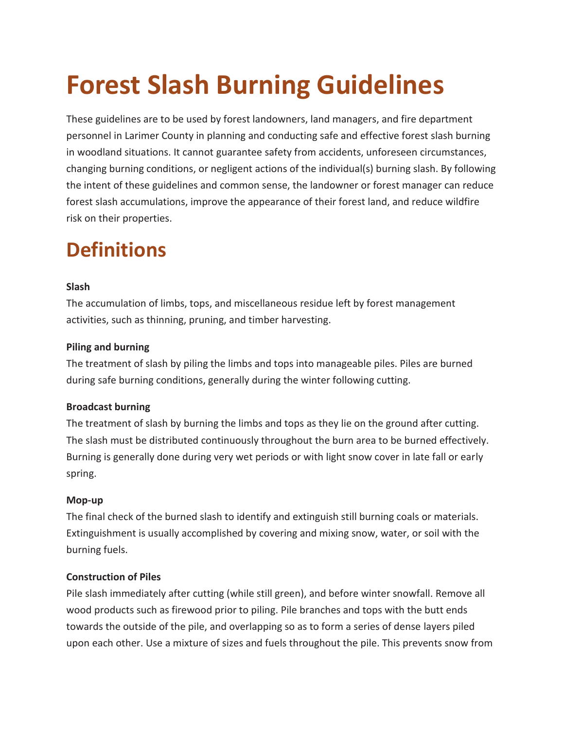# **Forest Slash Burning Guidelines**

These guidelines are to be used by forest landowners, land managers, and fire department personnel in Larimer County in planning and conducting safe and effective forest slash burning in woodland situations. It cannot guarantee safety from accidents, unforeseen circumstances, changing burning conditions, or negligent actions of the individual(s) burning slash. By following the intent of these guidelines and common sense, the landowner or forest manager can reduce forest slash accumulations, improve the appearance of their forest land, and reduce wildfire risk on their properties.

### **Definitions**

#### **Slash**

The accumulation of limbs, tops, and miscellaneous residue left by forest management activities, such as thinning, pruning, and timber harvesting.

#### **Piling and burning**

The treatment of slash by piling the limbs and tops into manageable piles. Piles are burned during safe burning conditions, generally during the winter following cutting.

#### **Broadcast burning**

The treatment of slash by burning the limbs and tops as they lie on the ground after cutting. The slash must be distributed continuously throughout the burn area to be burned effectively. Burning is generally done during very wet periods or with light snow cover in late fall or early spring.

#### **Mop-up**

The final check of the burned slash to identify and extinguish still burning coals or materials. Extinguishment is usually accomplished by covering and mixing snow, water, or soil with the burning fuels.

#### **Construction of Piles**

Pile slash immediately after cutting (while still green), and before winter snowfall. Remove all wood products such as firewood prior to piling. Pile branches and tops with the butt ends towards the outside of the pile, and overlapping so as to form a series of dense layers piled upon each other. Use a mixture of sizes and fuels throughout the pile. This prevents snow from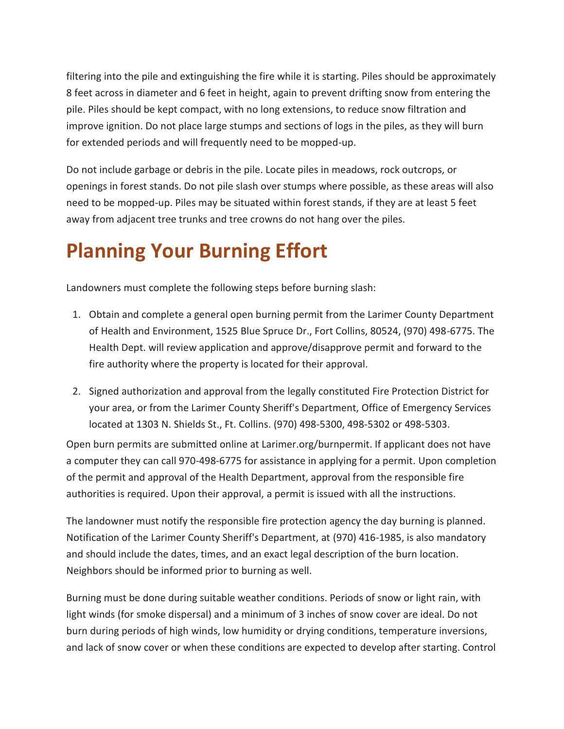filtering into the pile and extinguishing the fire while it is starting. Piles should be approximately 8 feet across in diameter and 6 feet in height, again to prevent drifting snow from entering the pile. Piles should be kept compact, with no long extensions, to reduce snow filtration and improve ignition. Do not place large stumps and sections of logs in the piles, as they will burn for extended periods and will frequently need to be mopped-up.

Do not include garbage or debris in the pile. Locate piles in meadows, rock outcrops, or openings in forest stands. Do not pile slash over stumps where possible, as these areas will also need to be mopped-up. Piles may be situated within forest stands, if they are at least 5 feet away from adjacent tree trunks and tree crowns do not hang over the piles.

## **Planning Your Burning Effort**

Landowners must complete the following steps before burning slash:

- 1. Obtain and complete a general open burning permit from the Larimer County Department of Health and Environment, 1525 Blue Spruce Dr., Fort Collins, 80524, (970) 498-6775. The Health Dept. will review application and approve/disapprove permit and forward to the fire authority where the property is located for their approval.
- 2. Signed authorization and approval from the legally constituted Fire Protection District for your area, or from the Larimer County Sheriff's Department, Office of Emergency Services located at 1303 N. Shields St., Ft. Collins. (970) 498-5300, 498-5302 or 498-5303.

Open burn permits are submitted online at Larimer.org/burnpermit. If applicant does not have a computer they can call 970-498-6775 for assistance in applying for a permit. Upon completion of the permit and approval of the Health Department, approval from the responsible fire authorities is required. Upon their approval, a permit is issued with all the instructions.

The landowner must notify the responsible fire protection agency the day burning is planned. Notification of the Larimer County Sheriff's Department, at (970) 416-1985, is also mandatory and should include the dates, times, and an exact legal description of the burn location. Neighbors should be informed prior to burning as well.

Burning must be done during suitable weather conditions. Periods of snow or light rain, with light winds (for smoke dispersal) and a minimum of 3 inches of snow cover are ideal. Do not burn during periods of high winds, low humidity or drying conditions, temperature inversions, and lack of snow cover or when these conditions are expected to develop after starting. Control